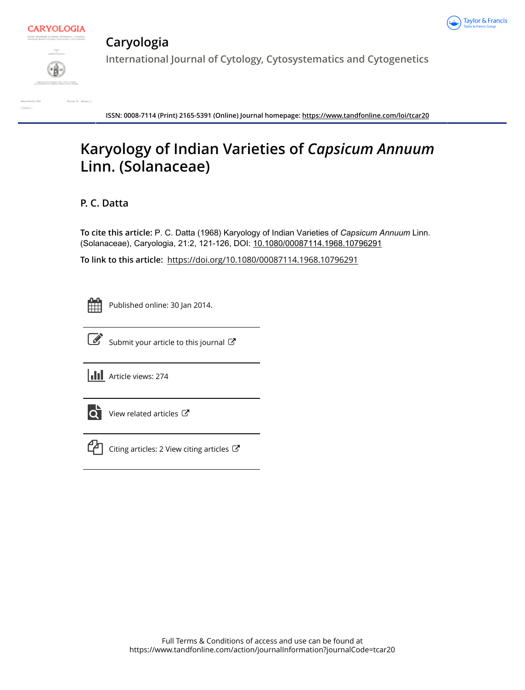



# **Caryologia**

**International Journal of Cytology, Cytosystematics and Cytogenetics**

**ISSN: 0008-7114 (Print) 2165-5391 (Online) Journal homepage:<https://www.tandfonline.com/loi/tcar20>**

# **Karyology of Indian Varieties of** *Capsicum Annuum* **Linn. (Solanaceae)**

# **P. C. Datta**

**To cite this article:** P. C. Datta (1968) Karyology of Indian Varieties of *CapsicumAnnuum* Linn. (Solanaceae), Caryologia, 21:2, 121-126, DOI: [10.1080/00087114.1968.10796291](https://www.tandfonline.com/action/showCitFormats?doi=10.1080/00087114.1968.10796291)

**To link to this article:** <https://doi.org/10.1080/00087114.1968.10796291>

Published online: 30 Jan 2014.



 $\overrightarrow{S}$  [Submit your article to this journal](https://www.tandfonline.com/action/authorSubmission?journalCode=tcar20&show=instructions)  $\overrightarrow{S}$ 

**III** Article views: 274



 $\overrightarrow{Q}$  [View related articles](https://www.tandfonline.com/doi/mlt/10.1080/00087114.1968.10796291)  $\overrightarrow{C}$ 



 $\Box$  [Citing articles: 2 View citing articles](https://www.tandfonline.com/doi/citedby/10.1080/00087114.1968.10796291#tabModule)  $\Box$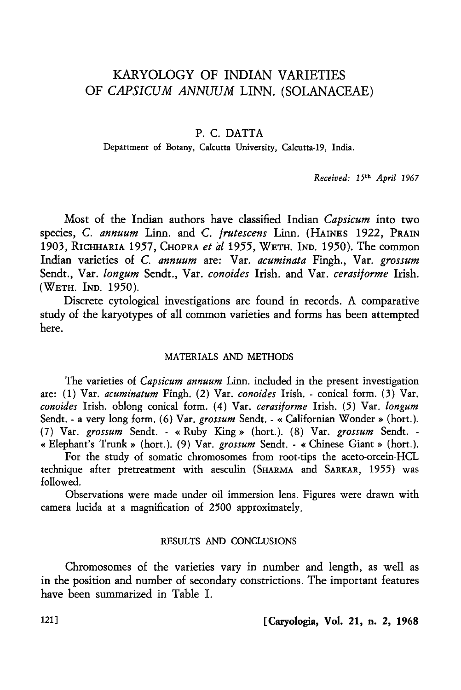## KARYOLOGY OF INDIAN VARIETIES OF *CAPSICUM ANNUUM* LINN. (SOLANACEAE)

## P. C. DATTA

Department of Botany, Calcutta University, Calcutta-19, India.

*Received:* 15th *April 1967* 

Most of the Indian authors have classified Indian *Capsicum* into two species, C. *annuum* Linn. and C. *frutescens* Linn. (HAINES 1922, PRAIN 1903, RICHHARIA 1957, CHOPRA *et all955,* WETH. IND. 1950). The common Indian varieties of C. *annuum* are: Var. *acuminata* Fingh., Var. *grossum*  Sendt., Var. *longum* Sendt., Var. *conoides* Irish. and Var. *cerasiforme* Irish. (WETH. IND. 1950).

Discrete cytological investigations are found in records. A comparative study of the karyotypes of all common varieties and forms has been attempted here.

## MATERIALS AND METHODS

The varieties of *Capsicum annuum* Linn. included in the present investigation are: (1) Var. *acuminatum* Fingh. (2) Var. *conoides* Irish. -conical form. (3) Var. *conoides* Irish. oblong conical form. (4) Var. *cerasiforme* Irish. (5) Var. *longum*  Sendt. - a very long form. (6) Var. *grossum* Sendt. - « Californian Wonder » (hort.). (7) Var. *grossum* Sendt. - «Ruby King» (hort.). (8) Var. *grossum* Sendt. - «Elephant's Trunk» (hort.). (9) Var. *grossum* Sendt. - «Chinese Giant» (hort.).

For the study of somatic chromosomes from root-tips the aceto-orcein-HCL technique after pretreatment with aesculin (SHARMA and SARKAR, 1955) was followed.

Observations were made under oil immersion lens. Figures were drawn with camera lucida at a magnification of 2500 approximately.

### RESULTS AND CONCLUSIONS

Chromosomes of the varieties vary in number and length, as well as in the position and number of secondary constrictions. The important features have been summarized in Table I.

121] [Caryologia, Vol. 21, n. 2, 1968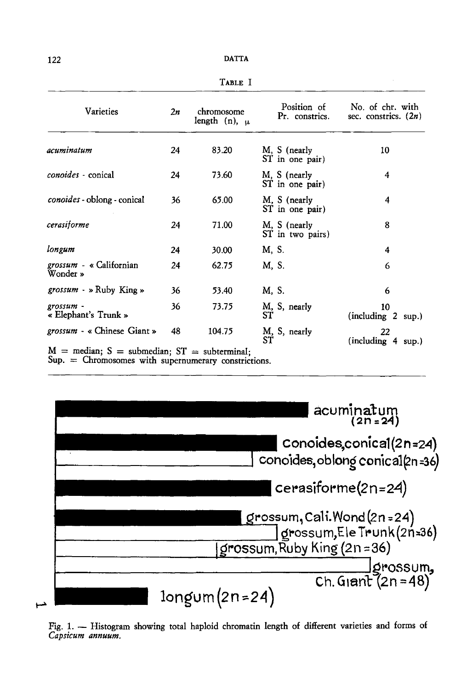| -- | __ |
|----|----|
|----|----|

| Varieties                                                                                                    | 2n | chromosome<br>length (n), $\mu$ | Position of<br>Pr. constrics.    | No. of chr. with<br>sec. constrics. $(2n)$ |
|--------------------------------------------------------------------------------------------------------------|----|---------------------------------|----------------------------------|--------------------------------------------|
| acuminatum                                                                                                   | 24 | 83.20                           | M, S (nearly<br>ST in one pair)  | 10                                         |
| conoides - conical                                                                                           | 24 | 73.60                           | M, S (nearly<br>ST in one pair)  | 4                                          |
| <i>conoides</i> - oblong - conical                                                                           | 36 | 65.00                           | M, S (nearly<br>ST in one pair)  | 4                                          |
| cerasiforme                                                                                                  | 24 | 71.00                           | M, S (nearly<br>ST in two pairs) | 8                                          |
| longum                                                                                                       | 24 | 30.00                           | M. S.                            | 4                                          |
| grossum - « Californian<br>Wonder »                                                                          | 24 | 62.75                           | M, S.                            | 6                                          |
| <i>grossum</i> - » Ruby King »                                                                               | 36 | 53.40                           | M, S.                            | 6                                          |
| grossum -<br>« Elephant's Trunk »                                                                            | 36 | 73.75                           | M, S, nearly<br>ST               | 10<br>(including 2 sup.)                   |
| grossum - « Chinese Giant »                                                                                  | 48 | 104.75                          | M, S, nearly<br>SŤ               | 22<br>(including 4 sup.)                   |
| $M =$ median; $S =$ submedian; $ST =$ subterminal;<br>$Sup. =$ Chromosomes with supernumerary constrictions. |    |                                 |                                  |                                            |

| $acumination(2n=24)$                                                                           |
|------------------------------------------------------------------------------------------------|
| Conoides.conical(2n=24)<br>conoides, oblong conical(2n=36)                                     |
| cerasiforme(2n=24)                                                                             |
| grossum, Cali.Wond (2n = 24)<br>  grossum, Ele Trunk (2n=36)<br>  grossum, Ruby King (2n = 36) |
| $\frac{1}{2}$ (2n=48)<br>Ch. Giant (2n=48)                                                     |
| $longum(2n=24)$                                                                                |

Fig. 1. - Histogram showing total haploid chromatin length of different varieties and forms of *Capsicum annuum.*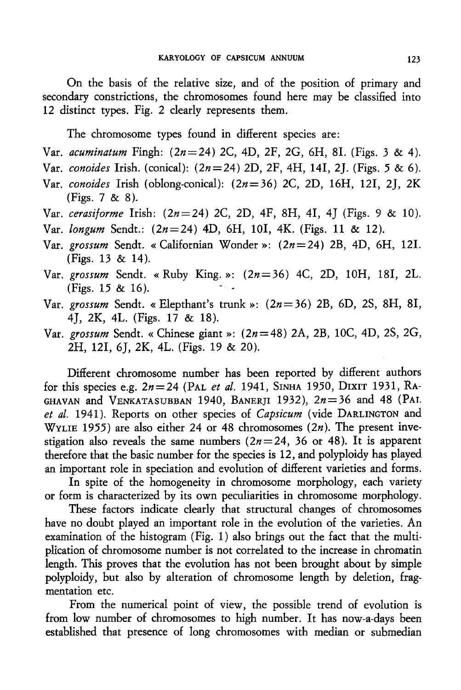On the basis of the relative size, and of the position of primary and secondary constrictions, the chromosomes found here may be classified into 12 distinct types. Fig. 2 clearly represents them.

The chromosome types found in different species are:

- Var. *acuminatum* Fingh: (2n=24) 2C, 4D, 2F, 2G, 6H, 81. (Figs. 3 & 4).
- Var. *conoides* Irish. (conical): *(2n=24)* 2D, 2F, 4H, 141, *2].* (Figs. *5* & 6).
- Var. *conoides* Irish (oblong-conical): (2n=36) 2C, 2D, 16H, 121, *2],* 2K (Figs. 7 & 8).
- Var. *cerasiforme* Irish: *(2n=24)* 2C, 2D, 4F, 8H, 41, *4]* (Figs. 9 & 10).
- Var. *longum* Sendt.: *(2n=24)* 4D, 6H, 101, 4K. (Figs. 11 & 12).
- Var. *grossum* Sendt. «Californian Wonder»: *(2n=24)* 2B, 4D, 6H, 121. (Figs. 13 & 14).
- Var. *grossum* Sendt. «Ruby King.»: (2n=36) 4C, 2D, 10H, 181, 2L. (Figs.  $15 \& 16$ ).
- Var. *grossum* Sendt. « Elepthant's trunk»: (2n=36) 2B, 6D, 2S, 8H, 81, 4], 2K, 4L. (Figs. 17 & 18).
- Var. *grossum* Sendt. «Chinese giant»: (2n=48) 2A, 2B, 10C, 4D, 2S, 2G, 2H, 121, *6],* 2K, 4L. (Figs. 19 & 20).

Different chromosome number has been reported by different authors for this species e.g. *2n=24* (PAL *et al.* 1941, SINHA 1950, DIXIT 1931, RA-GHAVAN and VENKATASUBBAN 1940, BANERJI 1932),  $2n=36$  and 48 (PAI. *et al.* 1941 ). Reports on other species of *Capsicum* (vide DARLINGTON and WYLIE 1955) are also either 24 or 48 chromosomes  $(2n)$ . The present investigation also reveals the same numbers  $(2n=24, 36$  or 48). It is apparent therefore that the basic number for the species is 12, and polyploidy has played an important role in speciation and evolution of different varieties and forms.

In spite of the homogeneity in chromosome morphology, each variety or form is characterized by its own peculiarities in chromosome morphology.

These factors indicate clearly that structural changes of chromosomes have no doubt played an important role in the evolution of the varieties. An examination of the histogram (Fig. 1) also brings out the fact that the multiplication of chromosome number is not correlated to the increase in chromatin length. This proves that the evolution has not been brought about by simple polyploidy, but also by alteration of chromosome length by deletion, fragmentation etc.

From the numerical point of view, the possible trend of evolution is from low number of chromosomes to high number. It has now-a-days been established that presence of long chromosomes with median or submedian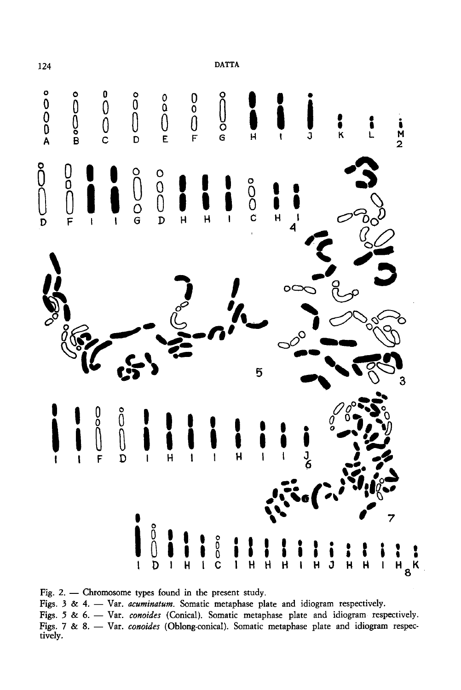

Fig. 2.  $-$  Chromosome types found in the present study.

Figs. 3 & 4. - Var. acuminatum. Somatic metaphase plate and idiogram respectively.

Figs. 5 & 6. - Var. conoides (Conical). Somatic metaphase plate and idiogram respectively. Figs. 7 & 8. - Var. conoides (Oblong-conical). Somatic metaphase plate and idiogram respectively.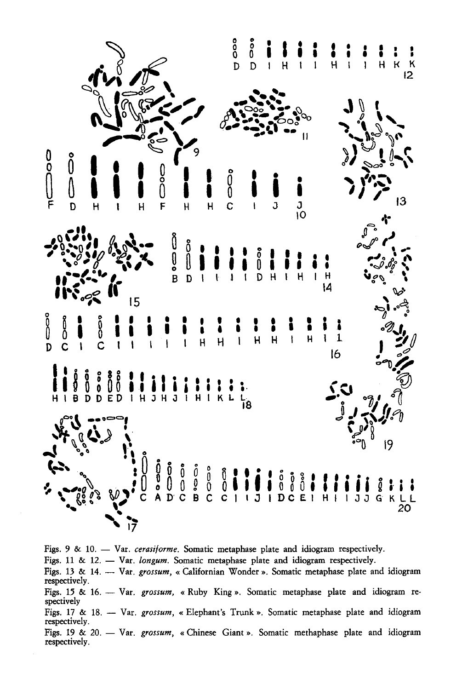

Figs. 9 & 10. - Var. cerasiforme. Somatic metaphase plate and idiogram respectively. Figs. 11 & 12. - Var. longum. Somatic metaphase plate and idiogram respectively. Figs. 13 & 14. -- Var. grossum, « Californian Wonder ». Somatic metaphase plate and idiogram respectively. Figs. 15 & 16. -- Var. grossum, « Ruby King ». Somatic metaphase plate and idiogram respectively Figs. 17 & 18. -- Var. grossum, « Elephant's Trunk ». Somatic metaphase plate and idiogram respectively. Figs. 19 & 20. - Var. grossum, « Chinese Giant ». Somatic methaphase plate and idiogram respectively.